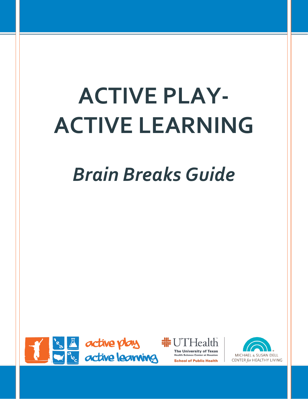# **ACTIVE PLAY-ACTIVE LEARNING**

## *Brain Breaks Guide*





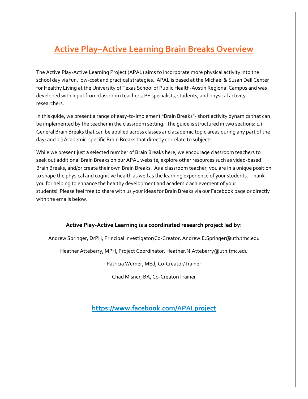## **Active Play–Active Learning Brain Breaks Overview**

The Active Play-Active Learning Project (APAL) aims to incorporate more physical activity into the school day via fun, low-cost and practical strategies. APAL is based at the Michael & Susan Dell Center for Healthy Living at the University of Texas School of Public Health-Austin Regional Campus and was developed with input from classroom teachers, PE specialists, students, and physical activity researchers.

In this guide, we present a range of easy-to-implement "Brain Breaks"- short activity dynamics that can be implemented by the teacher in the classroom setting. The guide is structured in two sections: 1.) General Brain Breaks that can be applied across classes and academic topic areas during any part of the day; and 2.) Academic-specific Brain Breaks that directly correlate to subjects.

While we present just a selected number of Brain Breaks here, we encourage classroom teachers to seek out additional Brain Breaks on our APAL website, explore other resources such as video-based Brain Breaks, and/or create their own Brain Breaks. As a classroom teacher, you are in a unique position to shape the physical and cognitive health as well as the learning experience of your students. Thank you for helping to enhance the healthy development and academic achievement of your students! Please feel free to share with us your ideas for Brain Breaks via our Facebook page or directly with the emails below.

#### **Active Play-Active Learning is a coordinated research project led by:**

Andrew Springer, DrPH, Principal Investigator/Co-Creator, Andrew.E.Springer@uth.tmc.edu

Heather Atteberry, MPH, Project Coordinator, Heather.N.Atteberry@uth.tmc.edu

Patricia Werner, MEd, Co-Creator/Trainer

Chad Misner, BA, Co-Creator/Trainer

**<https://www.facebook.com/APALproject>**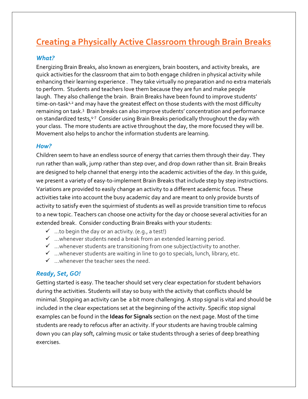## **Creating a Physically Active Classroom through Brain Breaks**

#### *What?*

Energizing Brain Breaks, also known as energizers, brain boosters, and activity breaks, are quick activities for the classroom that aim to both engage children in physical activity while enhancing their learning experience . They take virtually no preparation and no extra materials to perform. Students and teachers love them because they are fun and make people laugh. They also challenge the brain. Brain Breaks have been found to improve students' time-on-task $1/2$  and may have the greatest effect on those students with the most difficulty remaining on task.<sup>3</sup> Brain breaks can also improve students' concentration and performance on standardized tests,<sup>4-7</sup> Consider using Brain Breaks periodically throughout the day with your class. The more students are active throughout the day, the more focused they will be. Movement also helps to anchor the information students are learning.

#### *How?*

Children seem to have an endless source of energy that carries them through their day. They run rather than walk, jump rather than step over, and drop down rather than sit. Brain Breaks are designed to help channel that energy into the academic activities of the day. In this guide, we present a variety of easy-to-implement Brain Breaks that include step by step instructions. Variations are provided to easily change an activity to a different academic focus. These activities take into account the busy academic day and are meant to only provide bursts of activity to satisfy even the squirmiest of students as well as provide transition time to refocus to a new topic. Teachers can choose one activity for the day or choose several activities for an extended break. Consider conducting Brain Breaks with your students:

- $\checkmark$  ...to begin the day or an activity. (e.g., a test!)
- $\checkmark$  ... whenever students need a break from an extended learning period.
- $\checkmark$  ... whenever students are transitioning from one subject/activity to another.
- $\checkmark$  ... whenever students are waiting in line to go to specials, lunch, library, etc.
- $\checkmark$  ... whenever the teacher sees the need.

#### *Ready, Set, GO!*

Getting started is easy. The teacher should set very clear expectation for student behaviors during the activities. Students will stay so busy with the activity that conflicts should be minimal. Stopping an activity can be a bit more challenging. A stop signal is vital and should be included in the clear expectations set at the beginning of the activity. Specific stop signal examples can be found in the **Ideas for Signals** section on the next page. Most of the time students are ready to refocus after an activity. If your students are having trouble calming down you can play soft, calming music or take students through a series of deep breathing exercises.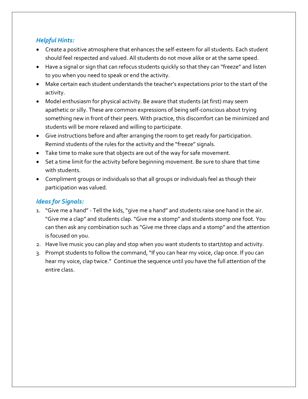#### *Helpful Hints:*

- Create a positive atmosphere that enhances the self-esteem for all students. Each student should feel respected and valued. All students do not move alike or at the same speed.
- Have a signal or sign that can refocus students quickly so that they can "freeze" and listen to you when you need to speak or end the activity.
- Make certain each student understands the teacher's expectations prior to the start of the activity.
- Model enthusiasm for physical activity. Be aware that students (at first) may seem apathetic or silly. These are common expressions of being self-conscious about trying something new in front of their peers. With practice, this discomfort can be minimized and students will be more relaxed and willing to participate.
- Give instructions before and after arranging the room to get ready for participation. Remind students of the rules for the activity and the "freeze" signals.
- Take time to make sure that objects are out of the way for safe movement.
- Set a time limit for the activity before beginning movement. Be sure to share that time with students.
- Compliment groups or individuals so that all groups or individuals feel as though their participation was valued.

#### *Ideas for Signals:*

- 1. "Give me a hand" Tell the kids, "give me a hand" and students raise one hand in the air. "Give me a clap" and students clap. "Give me a stomp" and students stomp one foot. You can then ask any combination such as "Give me three claps and a stomp" and the attention is focused on you.
- 2. Have live music you can play and stop when you want students to start/stop and activity.
- 3. Prompt students to follow the command, "If you can hear my voice, clap once. If you can hear my voice, clap twice." Continue the sequence until you have the full attention of the entire class.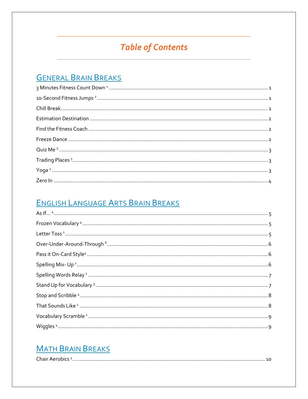## **Table of Contents**

## **GENERAL BRAIN BREAKS**

## ENGLISH LANGUAGE ARTS BRAIN BREAKS

## **MATH BRAIN BREAKS**

| nair |
|------|
|------|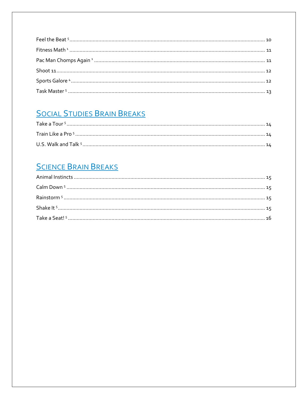## **SOCIAL STUDIES BRAIN BREAKS**

## **SCIENCE BRAIN BREAKS**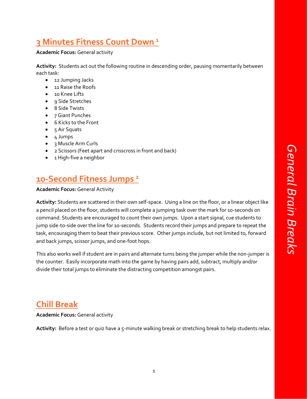## <span id="page-6-0"></span>**3 Minutes Fitness Count Down <sup>1</sup>**

#### **Academic Focus:** General activity

**Activity:** Students act out the following routine in descending order, pausing momentarily between each task:

- 12 Jumping Jacks
- 11 Raise the Roofs
- 10 Knee Lifts
- 9 Side Stretches
- 8 Side Twists
- 7 Giant Punches
- 6 Kicks to the Front
- $\bullet$  5 Air Squats
- 4 Jumps
- 3 Muscle Arm Curls
- 2 Scissors (Feet apart and crisscross in front and back)
- 1 High-five a neighbor

## <span id="page-6-1"></span>**10-Second Fitness Jumps <sup>2</sup>**

#### **Academic Focus:** General Activity

**Activity:** Students are scattered in their own self-space. Using a line on the floor, or a linear object like a pencil placed on the floor, students will complete a jumping task over the mark for 10-seconds on command. Students are encouraged to count their own jumps. Upon a start signal, cue students to jump side-to-side over the line for 10-seconds. Students record their jumps and prepare to repeat the task, encouraging them to beat their previous score. Other jumps include, but not limited to, forward and back jumps, scissor jumps, and one-foot hops.

This also works well if student are in pairs and alternate turns being the jumper while the non-jumper is the counter. Easily incorporate math into the game by having pairs add, subtract, multiply and/or divide their total jumps to eliminate the distracting competition amongst pairs.

## <span id="page-6-2"></span>**Chill Break**

**Academic Focus:** General activity

**Activity:** Before a test or quiz have a 5-minute walking break or stretching break to help students relax.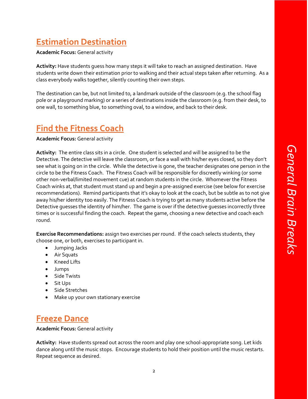## <span id="page-7-0"></span>**Estimation Destination**

**Academic Focus:** General activity

**Activity:** Have students guess how many steps it will take to reach an assigned destination. Have students write down their estimation prior to walking and their actual steps taken after returning. As a class everybody walks together, silently counting their own steps.

The destination can be, but not limited to, a landmark outside of the classroom (e.g. the school flag pole or a playground marking) or a series of destinations inside the classroom (e.g. from their desk, to one wall, to something blue, to something oval, to a window, and back to their desk.

## <span id="page-7-1"></span>**Find the Fitness Coach**

**Academic Focus:** General activity

**Activity:** The entire class sits in a circle. One student is selected and will be assigned to be the Detective. The detective will leave the classroom, or face a wall with his/her eyes closed, so they don't see what is going on in the circle. While the detective is gone, the teacher designates one person in the circle to be the Fitness Coach. The Fitness Coach will be responsible for discreetly winking (or some other non-verbal/limited movement cue) at random students in the circle. Whomever the Fitness Coach winks at, that student must stand up and begin a pre-assigned exercise (see below for exercise recommendations). Remind participants that it's okay to look at the coach, but be subtle as to not give away his/her identity too easily. The Fitness Coach is trying to get as many students active before the Detective guesses the identity of him/her. The game is over if the detective guesses incorrectly three times or is successful finding the coach. Repeat the game, choosing a new detective and coach each round.

**Exercise Recommendations:** assign two exercises per round. If the coach selects students, they choose one, or both, exercises to participant in.

- Jumping Jacks
- Air Squats
- Kneed Lifts
- Jumps
- Side Twists
- Sit Ups
- Side Stretches
- Make up your own stationary exercise

## <span id="page-7-2"></span>**Freeze Dance**

**Academic Focus:** General activity

**Activity:** Have students spread out across the room and play one school-appropriate song. Let kids dance along until the music stops. Encourage students to hold their position until the music restarts. Repeat sequence as desired.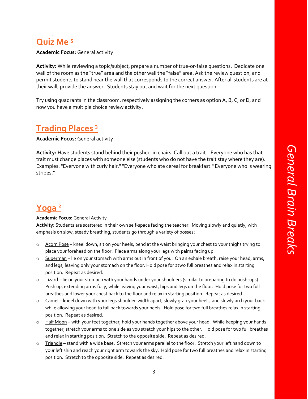## <span id="page-8-0"></span>**Quiz Me <sup>5</sup>**

**Academic Focus:** General activity

**Activity:** While reviewing a topic/subject, prepare a number of true-or-false questions. Dedicate one wall of the room as the "true" area and the other wall the "false" area. Ask the review question, and permit students to stand near the wall that corresponds to the correct answer. After all students are at their wall, provide the answer. Students stay put and wait for the next question.

Try using quadrants in the classroom, respectively assigning the corners as option A, B, C, or D, and now you have a multiple choice review activity.

## <span id="page-8-1"></span>**Trading Places <sup>3</sup>**

**Academic Focus:** General activity

**Activity:** Have students stand behind their pushed-in chairs. Call out a trait. Everyone who has that trait must change places with someone else (students who do not have the trait stay where they are). Examples: "Everyone with curly hair." "Everyone who ate cereal for breakfast." Everyone who is wearing stripes."

## <span id="page-8-2"></span>**Yoga <sup>2</sup>**

#### **Academic Focus:** General Activity

**Activity:** Students are scattered in their own self-space facing the teacher. Moving slowly and quietly, with emphasis on slow, steady breathing, students go through a variety of posses:

- o Acorn Pose kneel down, sit on your heels, bend at the waist bringing your chest to your thighs trying to place your forehead on the floor. Place arms along your legs with palms facing up.
- o Superman lie on your stomach with arms out in front of you. On an exhale breath, raise your head, arms, and legs, leaving only your stomach on the floor. Hold pose for 2two full breathes and relax in starting position. Repeat as desired.
- o Lizard lie on your stomach with your hands under your shoulders (similar to preparing to do push-ups). Push up, extending arms fully, while leaving your waist, hips and legs on the floor. Hold pose for two full breathes and lower your chest back to the floor and relax in starting position. Repeat as desired.
- o Camel kneel down with your legs shoulder-width apart, slowly grab your heels, and slowly arch your back while allowing your head to fall back towards your heels. Hold pose for two full breathes relax in starting position. Repeat as desired.
- o Half Moon with your feet together, hold your hands together above your head. While keeping your hands together, stretch your arms to one side as you stretch your hips to the other. Hold pose for two full breathes and relax in starting position. Stretch to the opposite side. Repeat as desired.
- o Triangle stand with a wide base. Stretch your arms parallel to the floor. Stretch your left hand down to your left shin and reach your right arm towards the sky. Hold pose for two full breathes and relax in starting position. Stretch to the opposite side. Repeat as desired.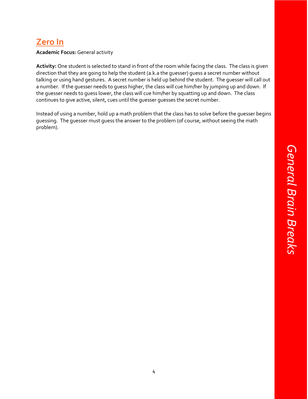## <span id="page-9-0"></span>**Zero In**

**Academic Focus:** General activity

**Activity:** One student is selected to stand in front of the room while facing the class. The class is given direction that they are going to help the student (a.k.a the guesser) guess a secret number without talking or using hand gestures. A secret number is held up behind the student. The guesser will call out a number. If the guesser needs to guess higher, the class will cue him/her by jumping up and down. If the guesser needs to guess lower, the class will cue him/her by squatting up and down. The class continues to give active, silent, cues until the guesser guesses the secret number.

Instead of using a number, hold up a math problem that the class has to solve before the guesser begins guessing. The guesser must guess the answer to the problem (of course, without seeing the math problem).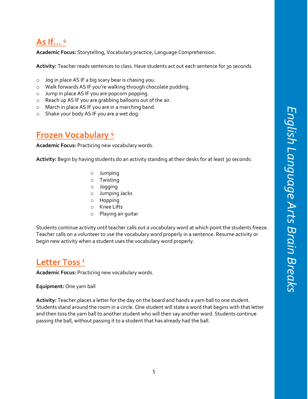## <span id="page-10-0"></span>**As If… <sup>4</sup>**

**Academic Focus:** Storytelling, Vocabulary practice, Language Comprehension.

**Activity:** Teacher reads sentences to class. Have students act out each sentence for 30 seconds.

- o Jog in place AS IF a big scary bear is chasing you.
- o Walk forwards AS IF you're walking through chocolate pudding.
- o Jump in place AS IF you are popcorn popping.
- o Reach up AS IF you are grabbing balloons out of the air.
- o March in place AS IF you are in a marching band.
- o Shake your body AS IF you are a wet dog.

## <span id="page-10-1"></span>**Frozen Vocabulary <sup>4</sup>**

**Academic Focus:** Practicing new vocabulary words.

Activity: Begin by having students do an activity standing at their desks for at least 30 seconds:

- o Jumping
- o Twisting
- o Jogging
- o Jumping Jacks
- o Hopping
- o Knee Lifts
- o Playing air guitar

Students continue activity until teacher calls out a vocabulary word at which point the students freeze. Teacher calls on a volunteer to use the vocabulary word properly in a sentence. Resume activity or begin new activity when a student uses the vocabulary word properly.

## <span id="page-10-2"></span>**Letter Toss <sup>1</sup>**

**Academic Focus:** Practicing new vocabulary words.

#### **Equipment:** One yarn ball

**Activity:** Teacher places a letter for the day on the board and hands a yarn ball to one student. Students stand around the room in a circle. One student will state a word that begins with that letter and then toss the yarn ball to another student who will then say another word. Students continue passing the ball, without passing it to a student that has already had the ball.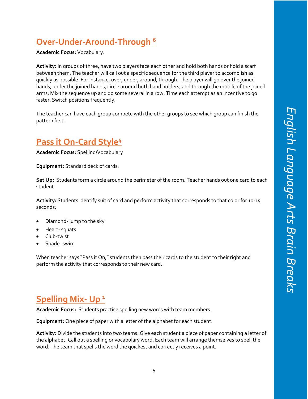## <span id="page-11-0"></span>**Over-Under-Around-Through <sup>6</sup>**

**Academic Focus:** Vocabulary.

**Activity:** In groups of three, have two players face each other and hold both hands or hold a scarf between them. The teacher will call out a specific sequence for the third player to accomplish as quickly as possible. For instance, over, under, around, through. The player will go over the joined hands, under the joined hands, circle around both hand holders, and through the middle of the joined arms. Mix the sequence up and do some several in a row. Time each attempt as an incentive to go faster. Switch positions frequently.

The teacher can have each group compete with the other groups to see which group can finish the pattern first.

## <span id="page-11-1"></span>**Pass it On-Card Style<sup>4</sup>**

**Academic Focus:** Spelling/Vocabulary

**Equipment:** Standard deck of cards.

**Set Up:** Students form a circle around the perimeter of the room. Teacher hands out one card to each student.

**Activity:** Students identify suit of card and perform activity that corresponds to that color for 10-15 seconds:

- Diamond- jump to the sky
- Heart- squats
- Club-twist
- Spade- swim

When teacher says "Pass it On," students then pass their cards to the student to their right and perform the activity that corresponds to their new card.

## <span id="page-11-2"></span>**Spelling Mix- Up <sup>1</sup>**

**Academic Focus:** Students practice spelling new words with team members.

**Equipment:** One piece of paper with a letter of the alphabet for each student.

**Activity:** Divide the students into two teams. Give each student a piece of paper containing a letter of the alphabet. Call out a spelling or vocabulary word. Each team will arrange themselves to spell the word. The team that spells the word the quickest and correctly receives a point.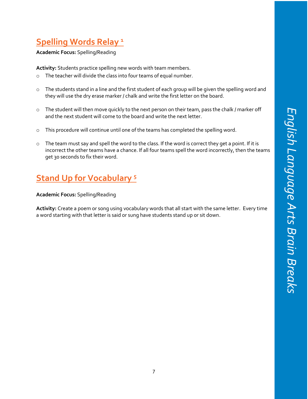## <span id="page-12-0"></span>**Spelling Words Relay <sup>1</sup>**

**Academic Focus:** Spelling/Reading

**Activity:** Students practice spelling new words with team members.

- o The teacher will divide the class into four teams of equal number.
- o The students stand in a line and the first student of each group will be given the spelling word and they will use the dry erase marker / chalk and write the first letter on the board.
- $\circ$  The student will then move quickly to the next person on their team, pass the chalk / marker off and the next student will come to the board and write the next letter.
- o This procedure will continue until one of the teams has completed the spelling word.
- $\circ$  The team must say and spell the word to the class. If the word is correct they get a point. If it is incorrect the other teams have a chance. If all four teams spell the word incorrectly, then the teams get 30 seconds to fix their word.

## <span id="page-12-1"></span>**Stand Up for Vocabulary <sup>5</sup>**

#### **Academic Focus:** Spelling/Reading

**Activity:** Create a poem or song using vocabulary words that all start with the same letter. Every time a word starting with that letter is said or sung have students stand up or sit down.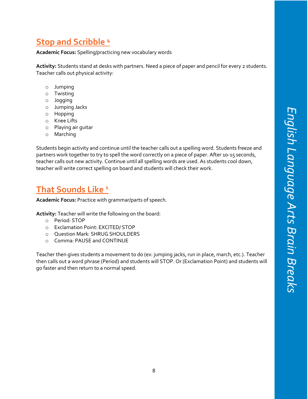## <span id="page-13-0"></span>**Stop and Scribble <sup>4</sup>**

**Academic Focus:** Spelling/practicing new vocabulary words

**Activity:** Students stand at desks with partners. Need a piece of paper and pencil for every 2 students. Teacher calls out physical activity:

- o Jumping
- o Twisting
- o Jogging
- o Jumping Jacks
- o Hopping
- o Knee Lifts
- o Playing air guitar
- o Marching

Students begin activity and continue until the teacher calls out a spelling word. Students freeze and partners work together to try to spell the word correctly on a piece of paper. After 10-15 seconds, teacher calls out new activity. Continue until all spelling words are used. As students cool down, teacher will write correct spelling on board and students will check their work.

## <span id="page-13-1"></span>**That Sounds Like <sup>1</sup>**

**Academic Focus:** Practice with grammar/parts of speech.

**Activity:** Teacher will write the following on the board:

- o Period: STOP
- o Exclamation Point: EXCITED/ STOP
- o Question Mark: SHRUG SHOULDERS
- o Comma: PAUSE and CONTINUE

Teacher then gives students a movement to do (ex: jumping jacks, run in place, march, etc.). Teacher then calls out a word phrase (Period) and students will STOP. Or (Exclamation Point) and students will go faster and then return to a normal speed.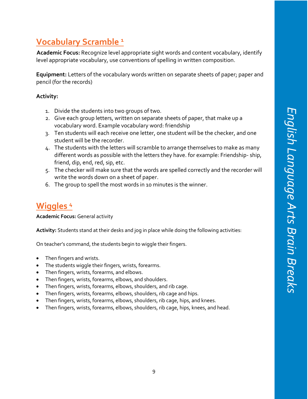## <span id="page-14-0"></span>**Vocabulary Scramble <sup>1</sup>**

**Academic Focus:** Recognize level appropriate sight words and content vocabulary, identify level appropriate vocabulary, use conventions of spelling in written composition.

**Equipment:** Letters of the vocabulary words written on separate sheets of paper; paper and pencil (for the records)

#### **Activity:**

- 1. Divide the students into two groups of two.
- 2. Give each group letters, written on separate sheets of paper, that make up a vocabulary word. Example vocabulary word: friendship
- 3. Ten students will each receive one letter, one student will be the checker, and one student will be the recorder.
- 4. The students with the letters will scramble to arrange themselves to make as many different words as possible with the letters they have. for example: Friendship- ship, friend, dip, end, red, sip, etc.
- 5. The checker will make sure that the words are spelled correctly and the recorder will write the words down on a sheet of paper.
- 6. The group to spell the most words in 10 minutes is the winner.

## <span id="page-14-1"></span>**Wiggles <sup>4</sup>**

**Academic Focus:** General activity

**Activity:** Students stand at their desks and jog in place while doing the following activities:

On teacher's command, the students begin to wiggle their fingers.

- Then fingers and wrists.
- The students wiggle their fingers, wrists, forearms.
- Then fingers, wrists, forearms, and elbows.
- Then fingers, wrists, forearms, elbows, and shoulders.
- Then fingers, wrists, forearms, elbows, shoulders, and rib cage.
- Then fingers, wrists, forearms, elbows, shoulders, rib cage and hips.
- Then fingers, wrists, forearms, elbows, shoulders, rib cage, hips, and knees.
- Then fingers, wrists, forearms, elbows, shoulders, rib cage, hips, knees, and head.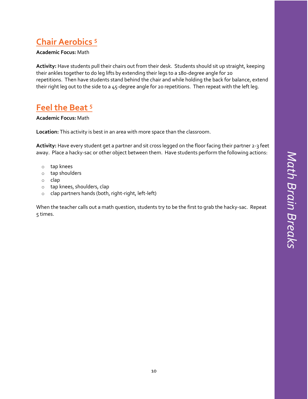## <span id="page-15-0"></span>**Chair Aerobics <sup>5</sup>**

#### **Academic Focus:** Math

**Activity:** Have students pull their chairs out from their desk. Students should sit up straight, keeping their ankles together to do leg lifts by extending their legs to a 180-degree angle for 20 repetitions. Then have students stand behind the chair and while holding the back for balance, extend their right leg out to the side to a 45-degree angle for 20 repetitions. Then repeat with the left leg.

## <span id="page-15-1"></span>**Feel the Beat <sup>5</sup>**

#### **Academic Focus:** Math

**Location:** This activity is best in an area with more space than the classroom.

**Activity:** Have every student get a partner and sit cross legged on the floor facing their partner 2-3 feet away. Place a hacky-sac or other object between them. Have students perform the following actions:

- o tap knees
- o tap shoulders
- o clap
- o tap knees, shoulders, clap
- o clap partners hands (both, right-right, left-left)

When the teacher calls out a math question, students try to be the first to grab the hacky-sac. Repeat 5 times.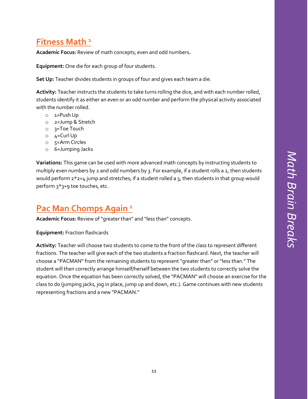## <span id="page-16-0"></span>**Fitness Math <sup>1</sup>**

**Academic Focus:** Review of math concepts; even and odd numbers**.** 

**Equipment:** One die for each group of four students.

**Set Up:** Teacher divides students in groups of four and gives each team a die.

**Activity:** Teacher instructs the students to take turns rolling the dice, and with each number rolled, students identify it as either an even or an odd number and perform the physical activity associated with the number rolled.

- o 1=Push Up
- o 2=Jump & Stretch
- o 3=Toe Touch
- $0$  4=Curl Up
- o 5=Arm Circles
- o 6=Jumping Jacks

**Variations:** This game can be used with more advanced math concepts by instructing students to multiply even numbers by 2 and odd numbers by 3. For example, if a student rolls a 2, then students would perform  $2 \times 2 = 4$  jump and stretches; if a student rolled a 3, then students in that group would perform 3\*3=9 toe touches, etc.

## <span id="page-16-1"></span>**Pac Man Chomps Again <sup>1</sup>**

**Academic Focus:** Review of "greater than" and "less than" concepts.

**Equipment:** Fraction flashcards

**Activity:** Teacher will choose two students to come to the front of the class to represent different fractions. The teacher will give each of the two students a fraction flashcard. Next, the teacher will choose a "PACMAN" from the remaining students to represent "greater than" or "less than." The student will then correctly arrange himself/herself between the two students to correctly solve the equation. Once the equation has been correctly solved, the "PACMAN" will choose an exercise for the class to do (jumping jacks, jog in place, jump up and down, etc.). Game continues with new students representing fractions and a new "PACMAN."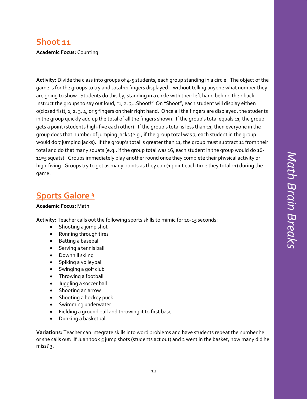## <span id="page-17-0"></span>**Shoot 11**

#### **Academic Focus:** Counting

**Activity:** Divide the class into groups of 4-5 students, each group standing in a circle. The object of the game is for the groups to try and total 11 fingers displayed – without telling anyone what number they are going to show. Students do this by, standing in a circle with their left hand behind their back. Instruct the groups to say out loud, "1, 2, 3...Shoot!" On "Shoot", each student will display either: 0(closed fist), 1, 2, 3, 4, or 5 fingers on their right hand. Once all the fingers are displayed, the students in the group quickly add up the total of all the fingers shown. If the group's total equals 11, the group gets a point (students high-five each other). If the group's total is less than 11, then everyone in the group does that number of jumping jacks (e.g., if the group total was 7, each student in the group would do 7 jumping jacks). If the group's total is greater than 11, the group must subtract 11 from their total and do that many squats (e.g., if the group total was 16, each student in the group would do 16- 11=5 squats). Groups immediately play another round once they complete their physical activity or high-fiving. Groups try to get as many points as they can (1 point each time they total 11) during the game.

## <span id="page-17-1"></span>**Sports Galore <sup>4</sup>**

#### **Academic Focus:** Math

**Activity:** Teacher calls out the following sports skills to mimic for 10-15 seconds:

- Shooting a jump shot
- Running through tires
- Batting a baseball
- Serving a tennis ball
- Downhill skiing
- Spiking a volleyball
- Swinging a golf club
- Throwing a football
- Juggling a soccer ball
- Shooting an arrow
- Shooting a hockey puck
- Swimming underwater
- Fielding a ground ball and throwing it to first base
- Dunking a basketball

**Variations:** Teacher can integrate skills into word problems and have students repeat the number he or she calls out: If Juan took 5 jump shots (students act out) and 2 went in the basket, how many did he miss? 3.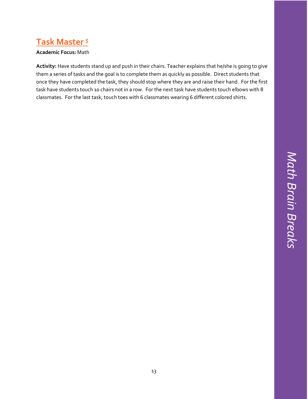# Math Brain Breaks *Math Brain Breaks*

## <span id="page-18-0"></span>**Task Master <sup>5</sup>**

#### **Academic Focus:** Math

**Activity:** Have students stand up and push in their chairs. Teacher explains that he/she is going to give them a series of tasks and the goal is to complete them as quickly as possible. Direct students that once they have completed the task, they should stop where they are and raise their hand. For the first task have students touch 10 chairs not in a row. For the next task have students touch elbows with 8 classmates. For the last task, touch toes with 6 classmates wearing 6 different colored shirts.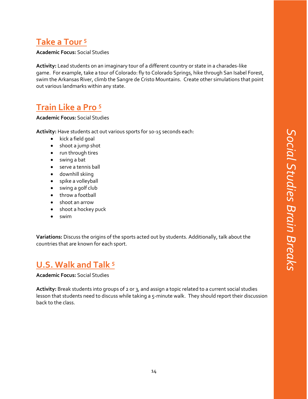## <span id="page-19-0"></span>**Take a Tour <sup>5</sup>**

**Academic Focus:** Social Studies

**Activity:** Lead students on an imaginary tour of a different country or state in a charades-like game. For example, take a tour of Colorado: fly to Colorado Springs, hike through San Isabel Forest, swim the Arkansas River, climb the Sangre de Cristo Mountains. Create other simulations that point out various landmarks within any state.

## <span id="page-19-1"></span>**Train Like a Pro <sup>5</sup>**

**Academic Focus:** Social Studies

**Activity:** Have students act out various sports for 10-15 seconds each:

- kick a field goal
- shoot a jump shot
- run through tires
- swing a bat
- serve a tennis ball
- downhill skiing
- spike a volleyball
- swing a golf club
- throw a football
- shoot an arrow
- shoot a hockey puck
- swim

**Variations:** Discuss the origins of the sports acted out by students. Additionally, talk about the countries that are known for each sport.

## <span id="page-19-2"></span>**U.S. Walk and Talk <sup>5</sup>**

**Academic Focus:** Social Studies

**Activity:** Break students into groups of 2 or 3, and assign a topic related to a current social studies lesson that students need to discuss while taking a 5-minute walk. They should report their discussion back to the class.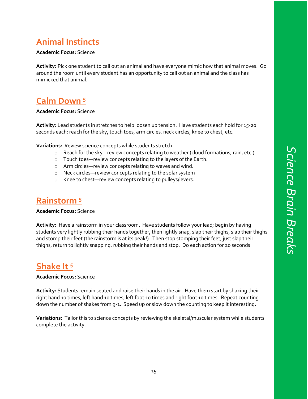## <span id="page-20-0"></span>**Animal Instincts**

#### **Academic Focus:** Science

**Activity:** Pick one student to call out an animal and have everyone mimic how that animal moves. Go around the room until every student has an opportunity to call out an animal and the class has mimicked that animal.

## <span id="page-20-1"></span>**Calm Down <sup>5</sup>**

#### **Academic Focus:** Science

**Activity:** Lead students in stretches to help loosen up tension. Have students each hold for 15-20 seconds each: reach for the sky, touch toes, arm circles, neck circles, knee to chest, etc.

**Variations:** Review science concepts while students stretch.

- o Reach for the sky—review concepts relating to weather (cloud formations, rain, etc.)
- o Touch toes—review concepts relating to the layers of the Earth.
- o Arm circles—review concepts relating to waves and wind.
- o Neck circles—review concepts relating to the solar system
- o Knee to chest—review concepts relating to pulleys/levers.

### <span id="page-20-2"></span>**Rainstorm <sup>5</sup>**

#### **Academic Focus:** Science

**Activity:** Have a rainstorm in your classroom. Have students follow your lead; begin by having students very lightly rubbing their hands together, then lightly snap, slap their thighs, slap their thighs and stomp their feet (the rainstorm is at its peak!). Then stop stomping their feet, just slap their thighs, return to lightly snapping, rubbing their hands and stop. Do each action for 20 seconds.

## <span id="page-20-3"></span>**Shake It <sup>5</sup>**

#### **Academic Focus:** Science

**Activity:** Students remain seated and raise their hands in the air. Have them start by shaking their right hand 10 times, left hand 10 times, left foot 10 times and right foot 10 times. Repeat counting down the number of shakes from 9-1. Speed up or slow down the counting to keep it interesting.

**Variations:** Tailor this to science concepts by reviewing the skeletal/muscular system while students complete the activity.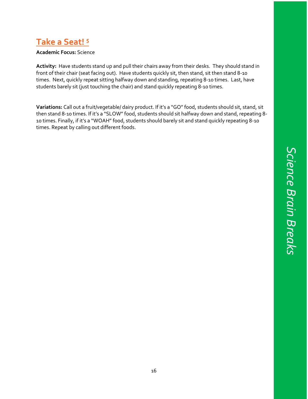## <span id="page-21-0"></span>**Take a Seat! <sup>5</sup>**

#### **Academic Focus:** Science

**Activity:** Have students stand up and pull their chairs away from their desks. They should stand in front of their chair (seat facing out). Have students quickly sit, then stand, sit then stand 8-10 times. Next, quickly repeat sitting halfway down and standing, repeating 8-10 times. Last, have students barely sit (just touching the chair) and stand quickly repeating 8-10 times.

**Variations:** Call out a fruit/vegetable/ dairy product. If it's a "GO" food, students should sit, stand, sit then stand 8-10 times. If it's a "SLOW" food, students should sit halfway down and stand, repeating 8- 10 times. Finally, if it's a "WOAH" food, students should barely sit and stand quickly repeating 8-10 times. Repeat by calling out different foods.